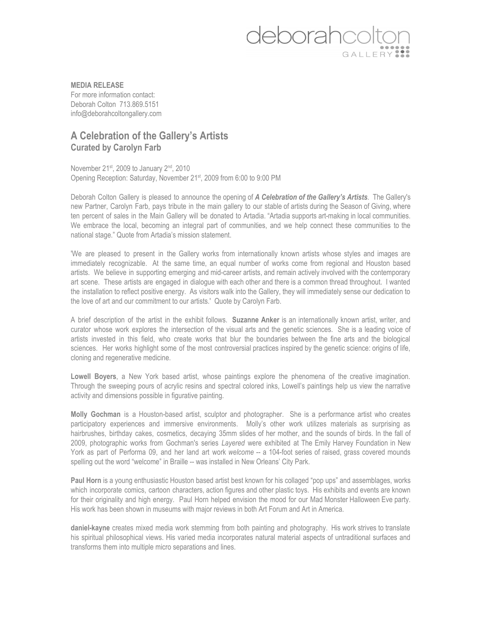

**MEDIA RELEASE** For more information contact: Deborah Colton 713.869.5151 info@deborahcoltongallery.com

## **A Celebration of the Gallery's Artists Curated by Carolyn Farb**

November 21<sup>st</sup>, 2009 to January 2<sup>nd</sup>, 2010 Opening Reception: Saturday, November 21<sup>st</sup>, 2009 from 6:00 to 9:00 PM

Deborah Colton Gallery is pleased to announce the opening of *A Celebration of the Gallery's Artists*. The Gallery's new Partner, Carolyn Farb, pays tribute in the main gallery to our stable of artists during the Season of Giving, where ten percent of sales in the Main Gallery will be donated to Artadia. "Artadia supports art-making in local communities. We embrace the local, becoming an integral part of communities, and we help connect these communities to the national stage." Quote from Artadia's mission statement.

'We are pleased to present in the Gallery works from internationally known artists whose styles and images are immediately recognizable. At the same time, an equal number of works come from regional and Houston based artists. We believe in supporting emerging and mid-career artists, and remain actively involved with the contemporary art scene. These artists are engaged in dialogue with each other and there is a common thread throughout. I wanted the installation to reflect positive energy. As visitors walk into the Gallery, they will immediately sense our dedication to the love of art and our commitment to our artists.' Quote by Carolyn Farb.

A brief description of the artist in the exhibit follows. **Suzanne Anker** is an internationally known artist, writer, and curator whose work explores the intersection of the visual arts and the genetic sciences. She is a leading voice of artists invested in this field, who create works that blur the boundaries between the fine arts and the biological sciences. Her works highlight some of the most controversial practices inspired by the genetic science: origins of life, cloning and regenerative medicine.

**Lowell Boyers**, a New York based artist, whose paintings explore the phenomena of the creative imagination. Through the sweeping pours of acrylic resins and spectral colored inks, Lowell's paintings help us view the narrative activity and dimensions possible in figurative painting.

**Molly Gochman** is a Houston-based artist, sculptor and photographer. She is a performance artist who creates participatory experiences and immersive environments. Molly's other work utilizes materials as surprising as hairbrushes, birthday cakes, cosmetics, decaying 35mm slides of her mother, and the sounds of birds. In the fall of 2009, photographic works from Gochman's series *Layered* were exhibited at The Emily Harvey Foundation in New York as part of Performa 09, and her land art work *welcome* -- a 104-foot series of raised, grass covered mounds spelling out the word "welcome" in Braille -- was installed in New Orleans' City Park.

**Paul Horn** is a young enthusiastic Houston based artist best known for his collaged "pop ups" and assemblages, works which incorporate comics, cartoon characters, action figures and other plastic toys. His exhibits and events are known for their originality and high energy. Paul Horn helped envision the mood for our Mad Monster Halloween Eve party. His work has been shown in museums with major reviews in both Art Forum and Art in America.

**daniel-kayne** creates mixed media work stemming from both painting and photography. His work strives to translate his spiritual philosophical views. His varied media incorporates natural material aspects of untraditional surfaces and transforms them into multiple micro separations and lines.